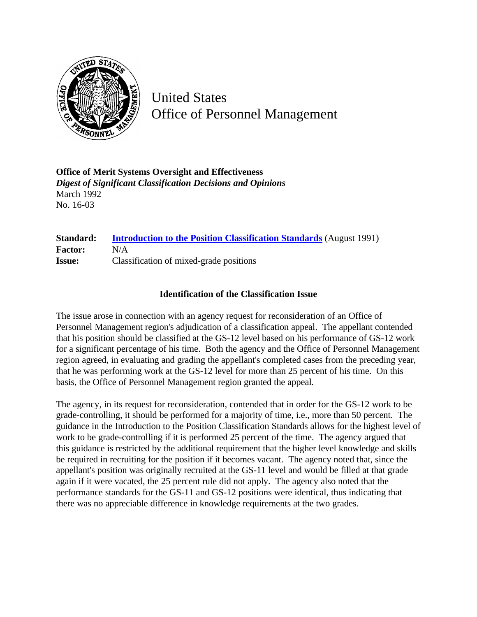

United States Office of Personnel Management

**Office of Merit Systems Oversight and Effectiveness** *Digest of Significant Classification Decisions and Opinions* March 1992 No. 16-03

## **Standard: [Introduction to the Position Classification Standards](http://www.opm.gov/hr/fedclass/gsintro.pdf)** (August 1991) **Factor:** N/A **Issue:** Classification of mixed-grade positions

## **Identification of the Classification Issue**

The issue arose in connection with an agency request for reconsideration of an Office of Personnel Management region's adjudication of a classification appeal. The appellant contended that his position should be classified at the GS-12 level based on his performance of GS-12 work for a significant percentage of his time. Both the agency and the Office of Personnel Management region agreed, in evaluating and grading the appellant's completed cases from the preceding year, that he was performing work at the GS-12 level for more than 25 percent of his time. On this basis, the Office of Personnel Management region granted the appeal.

The agency, in its request for reconsideration, contended that in order for the GS-12 work to be grade-controlling, it should be performed for a majority of time, i.e., more than 50 percent. The guidance in the Introduction to the Position Classification Standards allows for the highest level of work to be grade-controlling if it is performed 25 percent of the time. The agency argued that this guidance is restricted by the additional requirement that the higher level knowledge and skills be required in recruiting for the position if it becomes vacant. The agency noted that, since the appellant's position was originally recruited at the GS-11 level and would be filled at that grade again if it were vacated, the 25 percent rule did not apply. The agency also noted that the performance standards for the GS-11 and GS-12 positions were identical, thus indicating that there was no appreciable difference in knowledge requirements at the two grades.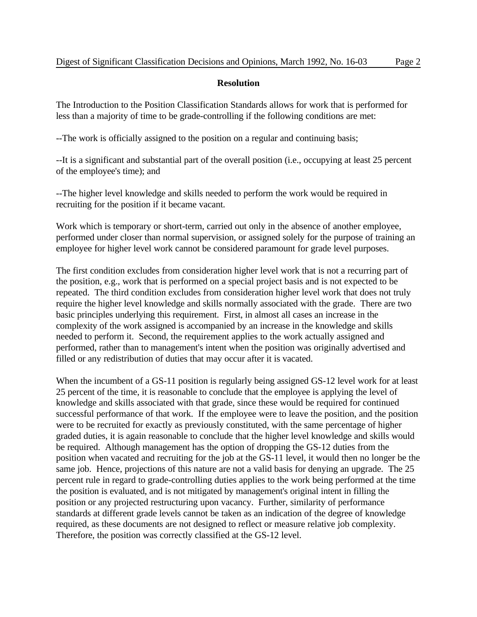## **Resolution**

The Introduction to the Position Classification Standards allows for work that is performed for less than a majority of time to be grade-controlling if the following conditions are met:

--The work is officially assigned to the position on a regular and continuing basis;

--It is a significant and substantial part of the overall position (i.e., occupying at least 25 percent of the employee's time); and

--The higher level knowledge and skills needed to perform the work would be required in recruiting for the position if it became vacant.

Work which is temporary or short-term, carried out only in the absence of another employee, performed under closer than normal supervision, or assigned solely for the purpose of training an employee for higher level work cannot be considered paramount for grade level purposes.

The first condition excludes from consideration higher level work that is not a recurring part of the position, e.g., work that is performed on a special project basis and is not expected to be repeated. The third condition excludes from consideration higher level work that does not truly require the higher level knowledge and skills normally associated with the grade. There are two basic principles underlying this requirement. First, in almost all cases an increase in the complexity of the work assigned is accompanied by an increase in the knowledge and skills needed to perform it. Second, the requirement applies to the work actually assigned and performed, rather than to management's intent when the position was originally advertised and filled or any redistribution of duties that may occur after it is vacated.

When the incumbent of a GS-11 position is regularly being assigned GS-12 level work for at least 25 percent of the time, it is reasonable to conclude that the employee is applying the level of knowledge and skills associated with that grade, since these would be required for continued successful performance of that work. If the employee were to leave the position, and the position were to be recruited for exactly as previously constituted, with the same percentage of higher graded duties, it is again reasonable to conclude that the higher level knowledge and skills would be required. Although management has the option of dropping the GS-12 duties from the position when vacated and recruiting for the job at the GS-11 level, it would then no longer be the same job. Hence, projections of this nature are not a valid basis for denying an upgrade. The 25 percent rule in regard to grade-controlling duties applies to the work being performed at the time the position is evaluated, and is not mitigated by management's original intent in filling the position or any projected restructuring upon vacancy. Further, similarity of performance standards at different grade levels cannot be taken as an indication of the degree of knowledge required, as these documents are not designed to reflect or measure relative job complexity. Therefore, the position was correctly classified at the GS-12 level.